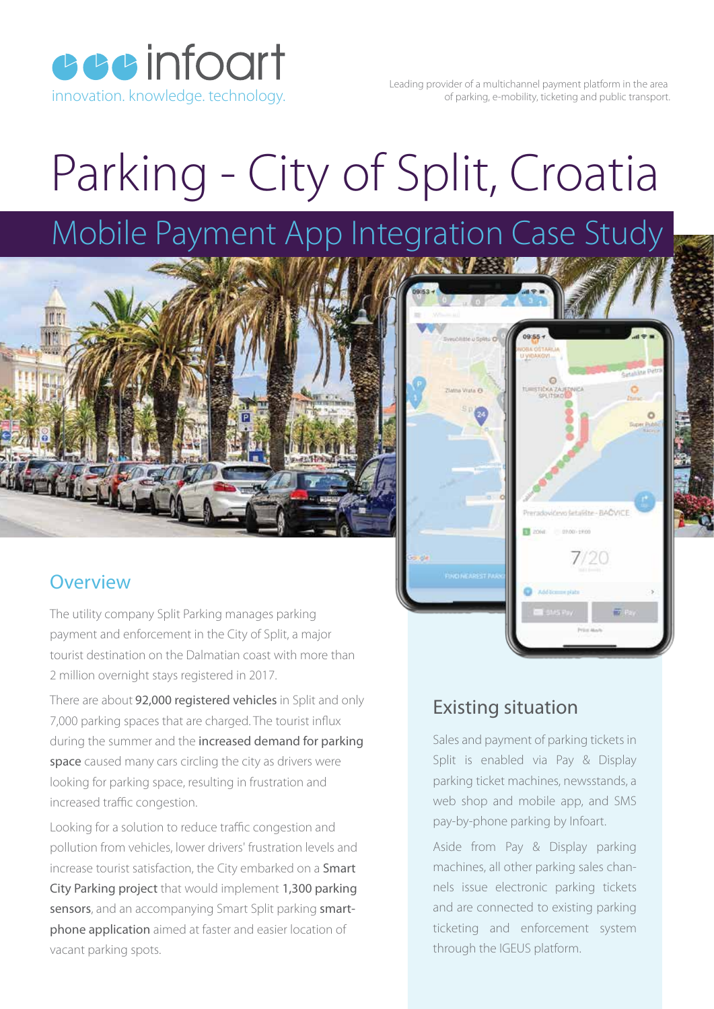**cccinfoart** 

Leading provider of a multichannel payment platform in the area innovation. knowledge. technology. The matrix of parking, e-mobility, ticketing and public transport.

# Parking - City of Split, Croatia

## Mobile Payment App Integration Case Study



#### **Overview**

The utility company Split Parking manages parking payment and enforcement in the City of Split, a major tourist destination on the Dalmatian coast with more than 2 million overnight stays registered in 2017.

There are about 92,000 registered vehicles in Split and only 7,000 parking spaces that are charged. The tourist influx during the summer and the increased demand for parking space caused many cars circling the city as drivers were looking for parking space, resulting in frustration and increased traffic congestion.

Looking for a solution to reduce traffic congestion and pollution from vehicles, lower drivers' frustration levels and increase tourist satisfaction, the City embarked on a **Smart** City Parking project that would implement 1,300 parking sensors, and an accompanying Smart Split parking smartphone application aimed at faster and easier location of vacant parking spots.

#### Existing situation

Sales and payment of parking tickets in Split is enabled via Pay & Display parking ticket machines, newsstands, a web shop and mobile app, and SMS pay-by-phone parking by Infoart.

adovičevo šetalište - BAČVICE  $0100 + 100$ 

Aside from Pay & Display parking machines, all other parking sales channels issue electronic parking tickets and are connected to existing parking ticketing and enforcement system through the IGEUS platform.